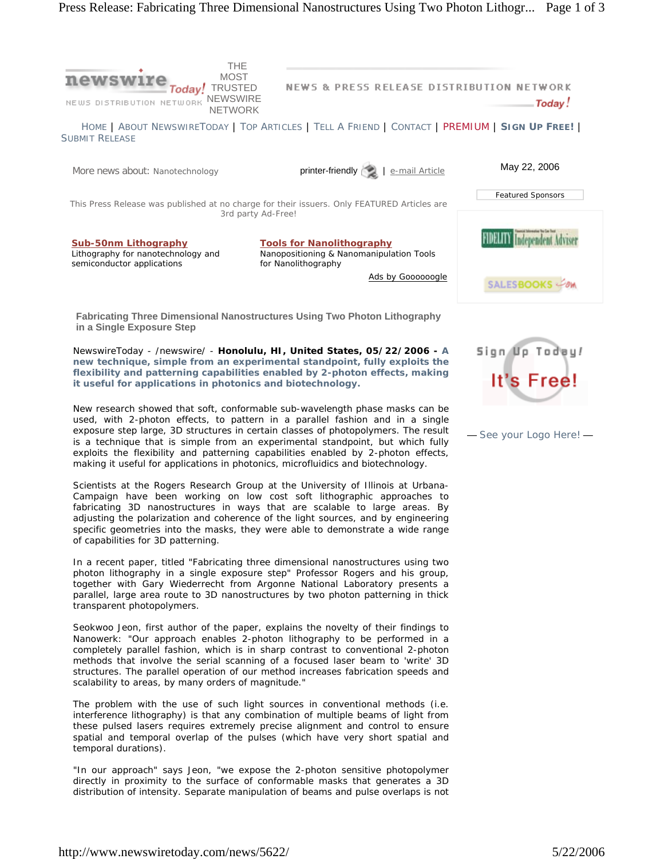

**Fabricating Three Dimensional Nanostructures Using Two Photon Lithography in a Single Exposure Step**

NewswireToday - /newswire/ - **Honolulu, HI, United States, 05/22/2006 - A new technique, simple from an experimental standpoint, fully exploits the flexibility and patterning capabilities enabled by 2-photon effects, making it useful for applications in photonics and biotechnology.**

New research showed that soft, conformable sub-wavelength phase masks can be used, with 2-photon effects, to pattern in a parallel fashion and in a single exposure step large, 3D structures in certain classes of photopolymers. The result is a technique that is simple from an experimental standpoint, but which fully exploits the flexibility and patterning capabilities enabled by 2-photon effects, making it useful for applications in photonics, microfluidics and biotechnology.

Scientists at the Rogers Research Group at the University of Illinois at Urbana-Campaign have been working on low cost soft lithographic approaches to fabricating 3D nanostructures in ways that are scalable to large areas. By adjusting the polarization and coherence of the light sources, and by engineering specific geometries into the masks, they were able to demonstrate a wide range of capabilities for 3D patterning.

In a recent paper, titled "Fabricating three dimensional nanostructures using two photon lithography in a single exposure step" Professor Rogers and his group, together with Gary Wiederrecht from Argonne National Laboratory presents a parallel, large area route to 3D nanostructures by two photon patterning in thick transparent photopolymers.

Seokwoo Jeon, first author of the paper, explains the novelty of their findings to Nanowerk: "Our approach enables 2-photon lithography to be performed in a completely parallel fashion, which is in sharp contrast to conventional 2-photon methods that involve the serial scanning of a focused laser beam to 'write' 3D structures. The parallel operation of our method increases fabrication speeds and scalability to areas, by many orders of magnitude."

The problem with the use of such light sources in conventional methods (i.e. interference lithography) is that any combination of multiple beams of light from these pulsed lasers requires extremely precise alignment and control to ensure spatial and temporal overlap of the pulses (which have very short spatial and temporal durations).

"In our approach" says Jeon, "we expose the 2-photon sensitive photopolymer directly in proximity to the surface of conformable masks that generates a 3D distribution of intensity. Separate manipulation of beams and pulse overlaps is not Sign Up Todey!

— See your Logo Here! —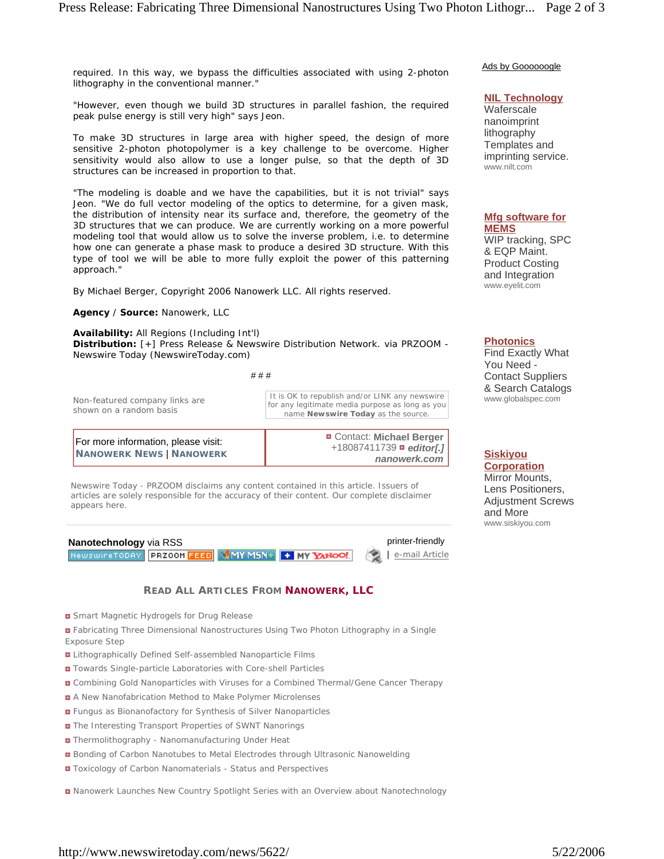required. In this way, we bypass the difficulties associated with using 2-photon lithography in the conventional manner."

"However, even though we build 3D structures in parallel fashion, the required peak pulse energy is still very high" says Jeon.

To make 3D structures in large area with higher speed, the design of more sensitive 2-photon photopolymer is a key challenge to be overcome. Higher sensitivity would also allow to use a longer pulse, so that the depth of 3D structures can be increased in proportion to that.

"The modeling is doable and we have the capabilities, but it is not trivial" says Jeon. "We do full vector modeling of the optics to determine, for a given mask, the distribution of intensity near its surface and, therefore, the geometry of the 3D structures that we can produce. We are currently working on a more powerful modeling tool that would allow us to solve the inverse problem, i.e. to determine how one can generate a phase mask to produce a desired 3D structure. With this type of tool we will be able to more fully exploit the power of this patterning approach."

By Michael Berger, Copyright 2006 Nanowerk LLC. All rights reserved.

## **Agency** / **Source:** *Nanowerk, LLC*

**Availability:** All Regions (Including Int'l) **Distribution:** [+] Press Release & Newswire Distribution Network. via PRZOOM - Newswire Today (NewswireToday.com)

| # # # |  |
|-------|--|
|       |  |

| Non-featured company links are<br>shown on a random basis       | It is OK to republish and/or LINK any newswire<br>for any legitimate media purpose as long as you<br>name Newswire Today as the source. |  |
|-----------------------------------------------------------------|-----------------------------------------------------------------------------------------------------------------------------------------|--|
| For more information, please visit:<br>NANOWERK NEWS   NANOWERK | <b>D</b> Contact: Michael Berger<br>$+18087411739$ <b>editor[.]</b><br>nanowerk.com                                                     |  |

*Newswire Today - PRZOOM disclaims any content contained in this article. Issuers of articles are solely responsible for the accuracy of their content. Our complete disclaimer appears here.*



## **READ ALL ARTICLES FROM NANOWERK, LLC**

- Smart Magnetic Hydrogels for Drug Release
- Fabricating Three Dimensional Nanostructures Using Two Photon Lithography in a Single Exposure Step
- Lithographically Defined Self-assembled Nanoparticle Films
- **D** Towards Single-particle Laboratories with Core-shell Particles
- **Combining Gold Nanoparticles with Viruses for a Combined Thermal/Gene Cancer Therapy**
- A New Nanofabrication Method to Make Polymer Microlenses
- **E** Fungus as Bionanofactory for Synthesis of Silver Nanoparticles
- **D** The Interesting Transport Properties of SWNT Nanorings
- Thermolithography Nanomanufacturing Under Heat
- **Bonding of Carbon Nanotubes to Metal Electrodes through Ultrasonic Nanowelding**
- $\blacksquare$  Toxicology of Carbon Nanomaterials Status and Perspectives

Nanowerk Launches New Country Spotlight Series with an Overview about Nanotechnology

Ads by Goooooogle

## **NIL Technology**

Waferscale nanoimprint lithography Templates and imprinting service. www.nilt.com

## **Mfg software for MEMS**

WIP tracking, SPC & EQP Maint. Product Costing and Integration www.eyelit.com

**Photonics**

Find Exactly What You Need - Contact Suppliers & Search Catalogs www.globalspec.com

**Siskiyou Corporation** Mirror Mounts,

Lens Positioners, Adjustment Screws and More www.siskiyou.com